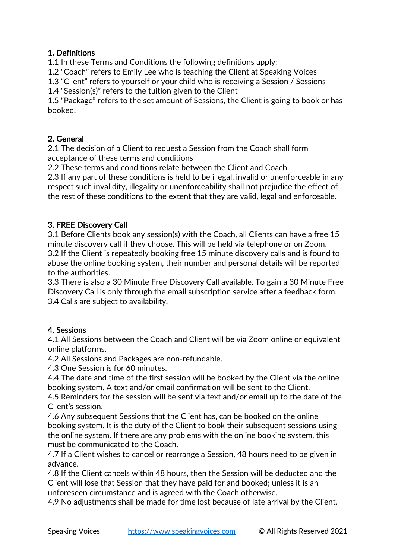## 1. Definitions

1.1 In these Terms and Conditions the following definitions apply:

1.2 "Coach" refers to Emily Lee who is teaching the Client at Speaking Voices

1.3 "Client" refers to yourself or your child who is receiving a Session / Sessions

1.4 "Session(s)" refers to the tuition given to the Client

1.5 "Package" refers to the set amount of Sessions, the Client is going to book or has booked.

## 2. General

2.1 The decision of a Client to request a Session from the Coach shall form acceptance of these terms and conditions

2.2 These terms and conditions relate between the Client and Coach.

2.3 If any part of these conditions is held to be illegal, invalid or unenforceable in any respect such invalidity, illegality or unenforceability shall not prejudice the effect of the rest of these conditions to the extent that they are valid, legal and enforceable.

## 3. FREE Discovery Call

3.1 Before Clients book any session(s) with the Coach, all Clients can have a free 15 minute discovery call if they choose. This will be held via telephone or on Zoom. 3.2 If the Client is repeatedly booking free 15 minute discovery calls and is found to abuse the online booking system, their number and personal details will be reported to the authorities.

3.3 There is also a 30 Minute Free Discovery Call available. To gain a 30 Minute Free Discovery Call is only through the email subscription service after a feedback form. 3.4 Calls are subject to availability.

# 4. Sessions

4.1 All Sessions between the Coach and Client will be via Zoom online or equivalent online platforms.

4.2 All Sessions and Packages are non-refundable.

4.3 One Session is for 60 minutes.

4.4 The date and time of the first session will be booked by the Client via the online booking system. A text and/or email confirmation will be sent to the Client.

4.5 Reminders for the session will be sent via text and/or email up to the date of the Client's session.

4.6 Any subsequent Sessions that the Client has, can be booked on the online booking system. It is the duty of the Client to book their subsequent sessions using the online system. If there are any problems with the online booking system, this must be communicated to the Coach.

4.7 If a Client wishes to cancel or rearrange a Session, 48 hours need to be given in advance.

4.8 If the Client cancels within 48 hours, then the Session will be deducted and the Client will lose that Session that they have paid for and booked; unless it is an unforeseen circumstance and is agreed with the Coach otherwise.

4.9 No adjustments shall be made for time lost because of late arrival by the Client.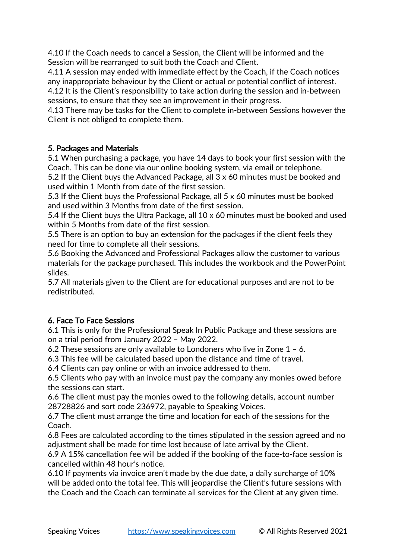4.10 If the Coach needs to cancel a Session, the Client will be informed and the Session will be rearranged to suit both the Coach and Client.

4.11 A session may ended with immediate effect by the Coach, if the Coach notices any inappropriate behaviour by the Client or actual or potential conflict of interest. 4.12 It is the Client's responsibility to take action during the session and in-between

sessions, to ensure that they see an improvement in their progress.

4.13 There may be tasks for the Client to complete in-between Sessions however the Client is not obliged to complete them.

## 5. Packages and Materials

5.1 When purchasing a package, you have 14 days to book your first session with the Coach. This can be done via our online booking system, via email or telephone.

5.2 If the Client buys the Advanced Package, all 3 x 60 minutes must be booked and used within 1 Month from date of the first session.

5.3 If the Client buys the Professional Package, all 5 x 60 minutes must be booked and used within 3 Months from date of the first session.

5.4 If the Client buys the Ultra Package, all 10 x 60 minutes must be booked and used within 5 Months from date of the first session.

5.5 There is an option to buy an extension for the packages if the client feels they need for time to complete all their sessions.

5.6 Booking the Advanced and Professional Packages allow the customer to various materials for the package purchased. This includes the workbook and the PowerPoint slides.

5.7 All materials given to the Client are for educational purposes and are not to be redistributed.

# 6. Face To Face Sessions

6.1 This is only for the Professional Speak In Public Package and these sessions are on a trial period from January 2022 – May 2022.

6.2 These sessions are only available to Londoners who live in Zone  $1 - 6$ .

6.3 This fee will be calculated based upon the distance and time of travel.

6.4 Clients can pay online or with an invoice addressed to them.

6.5 Clients who pay with an invoice must pay the company any monies owed before the sessions can start.

6.6 The client must pay the monies owed to the following details, account number 28728826 and sort code 236972, payable to Speaking Voices.

6.7 The client must arrange the time and location for each of the sessions for the Coach.

6.8 Fees are calculated according to the times stipulated in the session agreed and no adjustment shall be made for time lost because of late arrival by the Client.

6.9 A 15% cancellation fee will be added if the booking of the face-to-face session is cancelled within 48 hour's notice.

6.10 If payments via invoice aren't made by the due date, a daily surcharge of 10% will be added onto the total fee. This will jeopardise the Client's future sessions with the Coach and the Coach can terminate all services for the Client at any given time.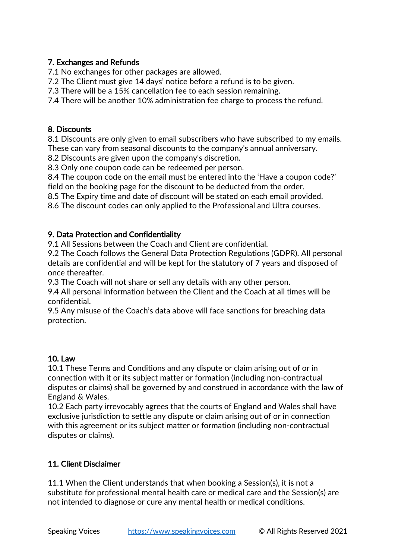## 7. Exchanges and Refunds

7.1 No exchanges for other packages are allowed.

7.2 The Client must give 14 days' notice before a refund is to be given.

7.3 There will be a 15% cancellation fee to each session remaining.

7.4 There will be another 10% administration fee charge to process the refund.

## 8. Discounts

8.1 Discounts are only given to email subscribers who have subscribed to my emails. These can vary from seasonal discounts to the company's annual anniversary.

8.2 Discounts are given upon the company's discretion.

8.3 Only one coupon code can be redeemed per person.

8.4 The coupon code on the email must be entered into the 'Have a coupon code?' field on the booking page for the discount to be deducted from the order.

8.5 The Expiry time and date of discount will be stated on each email provided.

8.6 The discount codes can only applied to the Professional and Ultra courses.

## 9. Data Protection and Confidentiality

9.1 All Sessions between the Coach and Client are confidential.

9.2 The Coach follows the General Data Protection Regulations (GDPR). All personal details are confidential and will be kept for the statutory of 7 years and disposed of once thereafter.

9.3 The Coach will not share or sell any details with any other person.

9.4 All personal information between the Client and the Coach at all times will be confidential.

9.5 Any misuse of the Coach's data above will face sanctions for breaching data protection.

# 10. Law

10.1 These Terms and Conditions and any dispute or claim arising out of or in connection with it or its subject matter or formation (including non-contractual disputes or claims) shall be governed by and construed in accordance with the law of England & Wales.

10.2 Each party irrevocably agrees that the courts of England and Wales shall have exclusive jurisdiction to settle any dispute or claim arising out of or in connection with this agreement or its subject matter or formation (including non-contractual disputes or claims).

# 11. Client Disclaimer

11.1 When the Client understands that when booking a Session(s), it is not a substitute for professional mental health care or medical care and the Session(s) are not intended to diagnose or cure any mental health or medical conditions.